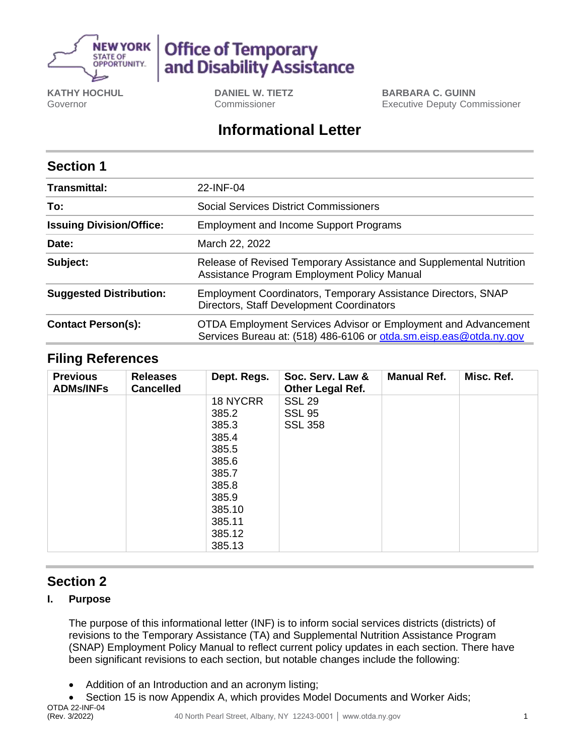

# **Office of Temporary** and Disability Assistance

**KATHY HOCHUL** Governor

**DANIEL W. TIETZ** Commissioner

**BARBARA C. GUINN** Executive Deputy Commissioner

# **Informational Letter**

### **Section 1**

| <b>Transmittal:</b>             | 22-INF-04                                                                                                                            |  |  |  |
|---------------------------------|--------------------------------------------------------------------------------------------------------------------------------------|--|--|--|
| To:                             | Social Services District Commissioners                                                                                               |  |  |  |
| <b>Issuing Division/Office:</b> | <b>Employment and Income Support Programs</b>                                                                                        |  |  |  |
| Date:                           | March 22, 2022                                                                                                                       |  |  |  |
| Subject:                        | Release of Revised Temporary Assistance and Supplemental Nutrition<br>Assistance Program Employment Policy Manual                    |  |  |  |
| <b>Suggested Distribution:</b>  | Employment Coordinators, Temporary Assistance Directors, SNAP<br>Directors, Staff Development Coordinators                           |  |  |  |
| <b>Contact Person(s):</b>       | OTDA Employment Services Advisor or Employment and Advancement<br>Services Bureau at: (518) 486-6106 or otda.sm.eisp.eas@otda.ny.gov |  |  |  |

#### **Filing References**

| <b>Previous</b><br><b>ADMs/INFs</b> | <b>Releases</b><br><b>Cancelled</b> | Dept. Regs. | Soc. Serv. Law &<br>Other Legal Ref. | <b>Manual Ref.</b> | Misc. Ref. |
|-------------------------------------|-------------------------------------|-------------|--------------------------------------|--------------------|------------|
|                                     |                                     | 18 NYCRR    | <b>SSL 29</b>                        |                    |            |
|                                     |                                     | 385.2       | <b>SSL 95</b>                        |                    |            |
|                                     |                                     | 385.3       | <b>SSL 358</b>                       |                    |            |
|                                     |                                     | 385.4       |                                      |                    |            |
|                                     |                                     | 385.5       |                                      |                    |            |
|                                     |                                     | 385.6       |                                      |                    |            |
|                                     |                                     | 385.7       |                                      |                    |            |
|                                     |                                     | 385.8       |                                      |                    |            |
|                                     |                                     | 385.9       |                                      |                    |            |
|                                     |                                     | 385.10      |                                      |                    |            |
|                                     |                                     | 385.11      |                                      |                    |            |
|                                     |                                     | 385.12      |                                      |                    |            |
|                                     |                                     | 385.13      |                                      |                    |            |

## **Section 2**

#### **I. Purpose**

The purpose of this informational letter (INF) is to inform social services districts (districts) of revisions to the Temporary Assistance (TA) and Supplemental Nutrition Assistance Program (SNAP) Employment Policy Manual to reflect current policy updates in each section. There have been significant revisions to each section, but notable changes include the following:

- Addition of an Introduction and an acronym listing;
- Section 15 is now Appendix A, which provides Model Documents and Worker Aids;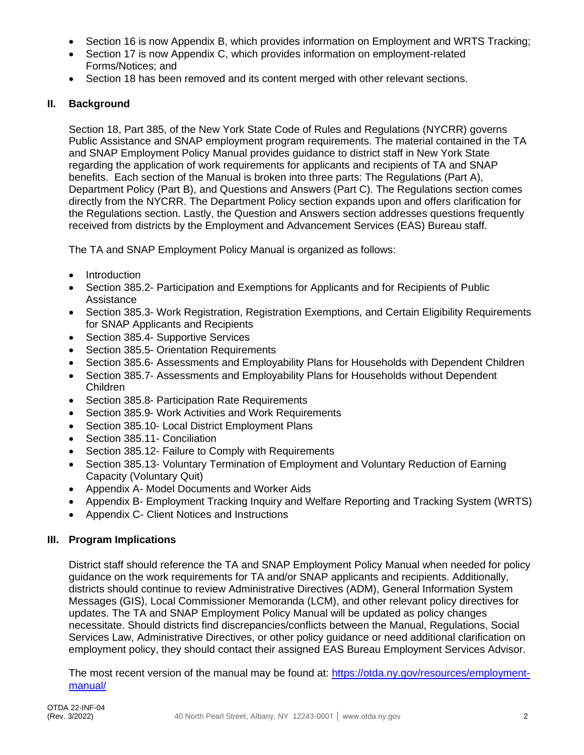- Section 16 is now Appendix B, which provides information on Employment and WRTS Tracking;
- Section 17 is now Appendix C, which provides information on employment-related Forms/Notices; and
- Section 18 has been removed and its content merged with other relevant sections.

#### **II. Background**

Section 18, Part 385, of the New York State Code of Rules and Regulations (NYCRR) governs Public Assistance and SNAP employment program requirements. The material contained in the TA and SNAP Employment Policy Manual provides guidance to district staff in New York State regarding the application of work requirements for applicants and recipients of TA and SNAP benefits. Each section of the Manual is broken into three parts: The Regulations (Part A), Department Policy (Part B), and Questions and Answers (Part C). The Regulations section comes directly from the NYCRR. The Department Policy section expands upon and offers clarification for the Regulations section. Lastly, the Question and Answers section addresses questions frequently received from districts by the Employment and Advancement Services (EAS) Bureau staff.

The TA and SNAP Employment Policy Manual is organized as follows:

- Introduction
- Section 385.2- Participation and Exemptions for Applicants and for Recipients of Public Assistance
- Section 385.3- Work Registration, Registration Exemptions, and Certain Eligibility Reguirements for SNAP Applicants and Recipients
- Section 385.4- Supportive Services
- Section 385.5- Orientation Requirements
- Section 385.6- Assessments and Employability Plans for Households with Dependent Children
- Section 385.7- Assessments and Employability Plans for Households without Dependent Children
- Section 385.8- Participation Rate Requirements
- Section 385.9- Work Activities and Work Requirements
- Section 385.10- Local District Employment Plans
- Section 385.11- Conciliation
- Section 385.12- Failure to Comply with Requirements
- Section 385.13- Voluntary Termination of Employment and Voluntary Reduction of Earning Capacity (Voluntary Quit)
- Appendix A- Model Documents and Worker Aids
- Appendix B- Employment Tracking Inquiry and Welfare Reporting and Tracking System (WRTS)
- Appendix C- Client Notices and Instructions

#### **III. Program Implications**

District staff should reference the TA and SNAP Employment Policy Manual when needed for policy guidance on the work requirements for TA and/or SNAP applicants and recipients. Additionally, districts should continue to review Administrative Directives (ADM), General Information System Messages (GIS), Local Commissioner Memoranda (LCM), and other relevant policy directives for updates. The TA and SNAP Employment Policy Manual will be updated as policy changes necessitate. Should districts find discrepancies/conflicts between the Manual, Regulations, Social Services Law, Administrative Directives, or other policy guidance or need additional clarification on employment policy, they should contact their assigned EAS Bureau Employment Services Advisor.

The most recent version of the manual may be found at: [https://otda.ny.gov/resources/employment](https://otda.ny.gov/resources/employment-manual/)[manual/](https://otda.ny.gov/resources/employment-manual/)